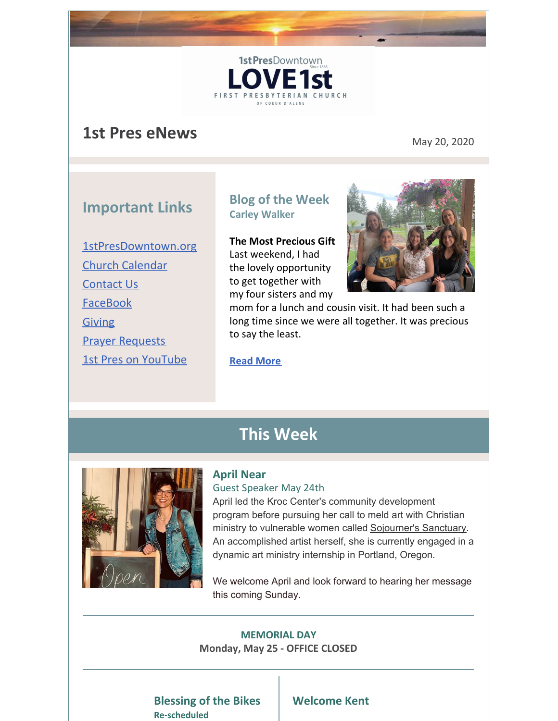# **1st Pres eNews** May 20, 2020

## **Important Links**

[1stPresDowntown.org](http://www.1stpresdowntown.org/) Church [Calendar](http://www.1stpresdowntown.org/calendar/) [Contact](http://www.1stpresdowntown.org/contact/) Us [FaceBook](https://www.facebook.com/cdadowntownchurch/) [Giving](https://www.eservicepayments.com/cgi-bin/Vanco_ver3.vps?appver3=Fi1giPL8kwX_Oe1AO50jRhFtjI3jPush-TiV_cWeMqos4NSQukCYDzKLUtTTUlsf2EvVVAEjqawDomKT1pbouWbIw4yEvEZZftNOfs1-eIM%3D&ver=3) Prayer [Requests](http://www.1stpresdowntown.org/contact/) 1st Pres on [YouTube](https://www.youtube.com/channel/UCCfruZriuZfS2hVar79nXbQ)

## **Blog of the Week Carley Walker**

1st PresDowntown

**FIRST PRESB** 

E<sub>1st</sub>

AN CHURCH

**The Most Precious Gift** Last weekend, I had the lovely opportunity to get together with my four sisters and my



mom for a lunch and cousin visit. It had been such a long time since we were all together. It was precious to say the least.

**Read [More](http://www.1stpresdowntown.org/the-most-precious-gift/)**

## **This Week**



#### **April Near**

#### Guest Speaker May 24th

April led the Kroc Center's community development program before pursuing her call to meld art with Christian ministry to vulnerable women called [Sojourner's](https://www.sojournersart.org/) Sanctuary. An accomplished artist herself, she is currently engaged in a dynamic art ministry internship in Portland, Oregon.

We welcome April and look forward to hearing her message this coming Sunday.

#### **MEMORIAL DAY Monday, May 25 - OFFICE CLOSED**

#### **Blessing of the Bikes Re-scheduled**

## **Welcome Kent**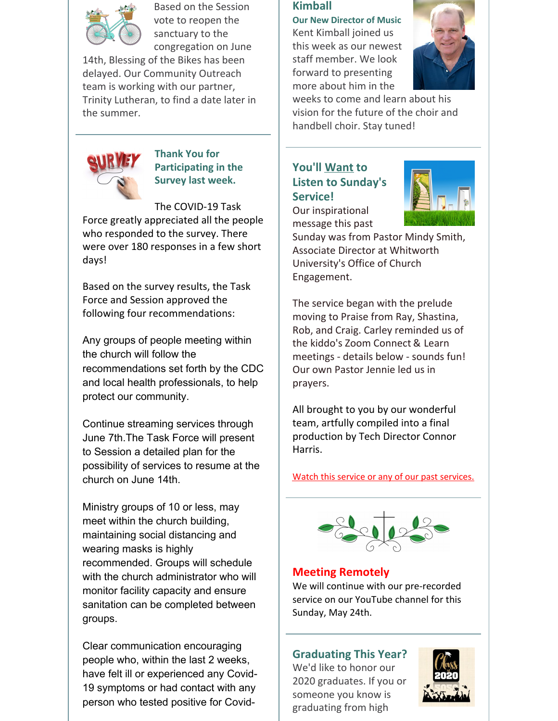

Based on the Session vote to reopen the sanctuary to the congregation on June

14th, Blessing of the Bikes has been delayed. Our Community Outreach team is working with our partner, Trinity Lutheran, to find a date later in the summer.



**Thank You for Participating in the Survey last week.**

The COVID-19 Task

Force greatly appreciated all the people who responded to the survey. There were over 180 responses in a few short days!

Based on the survey results, the Task Force and Session approved the following four recommendations:

Any groups of people meeting within the church will follow the recommendations set forth by the CDC and local health professionals, to help protect our community.

Continue streaming services through June 7th.The Task Force will present to Session a detailed plan for the possibility of services to resume at the church on June 14th.

Ministry groups of 10 or less, may meet within the church building, maintaining social distancing and wearing masks is highly recommended. Groups will schedule with the church administrator who will monitor facility capacity and ensure sanitation can be completed between groups.

Clear communication encouraging people who, within the last 2 weeks, have felt ill or experienced any Covid-19 symptoms or had contact with any person who tested positive for Covid-

### **Kimball**

**Our New Director of Music** Kent Kimball joined us this week as our newest staff member. We look forward to presenting more about him in the



weeks to come and learn about his vision for the future of the choir and handbell choir. Stay tuned!

## **You'll Want to Listen to Sunday's Service!**



Our inspirational message this past

Sunday was from Pastor Mindy Smith, Associate Director at Whitworth University's Office of Church Engagement.

The service began with the prelude moving to Praise from Ray, Shastina, Rob, and Craig. Carley reminded us of the kiddo's Zoom Connect & Learn meetings - details below - sounds fun! Our own Pastor Jennie led us in prayers.

All brought to you by our wonderful team, artfully compiled into a final production by Tech Director Connor Harris.

Watch this service or any of our past [services.](http://r20.rs6.net/tn.jsp?t=y56g5labb.0.0.rook9gdab.0&id=preview&r=3&p=https%3A%2F%2Fwww.youtube.com%2Fchannel%2FUCCfruZriuZfS2hVar79nXbQ)



## **Meeting Remotely**

We will continue with our pre-recorded service on our YouTube channel for this Sunday, May 24th.

## **Graduating This Year?**

We'd like to honor our 2020 graduates. If you or someone you know is graduating from high

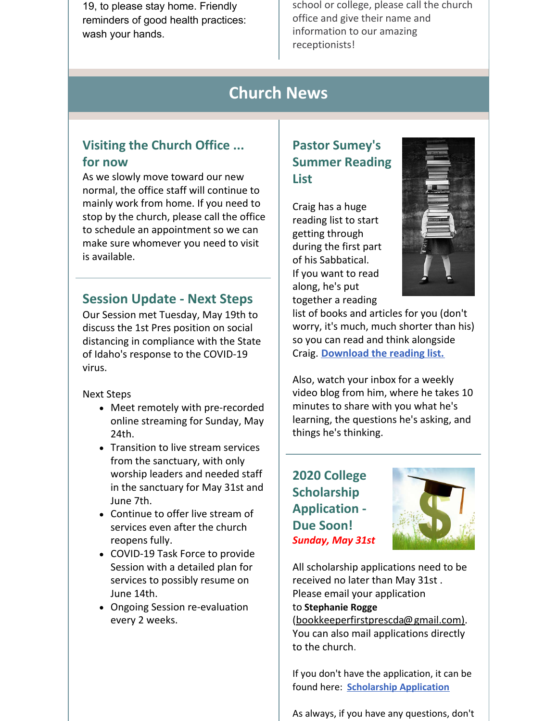19, to please stay home. Friendly reminders of good health practices: wash your hands.

school or college, please call the church office and give their name and information to our amazing receptionists!

## **Church News**

## **Visiting the Church Office ... for now**

As we slowly move toward our new normal, the office staff will continue to mainly work from home. If you need to stop by the church, please call the office to schedule an appointment so we can make sure whomever you need to visit is available.

## **Session Update - Next Steps**

Our Session met Tuesday, May 19th to discuss the 1st Pres position on social distancing in compliance with the State of Idaho's response to the COVID-19 virus.

Next Steps

- Meet remotely with pre-recorded online streaming for Sunday, May 24th.
- Transition to live stream services from the sanctuary, with only worship leaders and needed staff in the sanctuary for May 31st and June 7th.
- Continue to offer live stream of services even after the church reopens fully.
- COVID-19 Task Force to provide Session with a detailed plan for services to possibly resume on June 14th.
- Ongoing Session re-evaluation every 2 weeks.

## **Pastor Sumey's Summer Reading List**

Craig has a huge reading list to start getting through during the first part of his Sabbatical. If you want to read along, he's put together a reading



list of books and articles for you (don't worry, it's much, much shorter than his) so you can read and think alongside Craig. **[Download](https://files.constantcontact.com/1d935adc001/1abf8692-150f-4ac3-9390-c817944dc3ce.pdf) the reading list.**

Also, watch your inbox for a weekly video blog from him, where he takes 10 minutes to share with you what he's learning, the questions he's asking, and things he's thinking.

**2020 College Scholarship Application - Due Soon!** *Sunday, May 31st*



All scholarship applications need to be received no later than May 31st . Please email your application to **[Stephanie](mailto:bookkeeperfirstprescda@gmail.com) Rogge** (bookkeeperfirstprescda@gmail.com). You can also mail applications directly

to the church.

If you don't have the application, it can be found here: **[Scholarship](http://r20.rs6.net/tn.jsp?t=y56g5labb.0.0.rook9gdab.0&id=preview&r=3&p=http%3A%2F%2Fwww.1stpresdowntown.org%2Fed-scholarship-application%2F) Application**

As always, if you have any questions, don't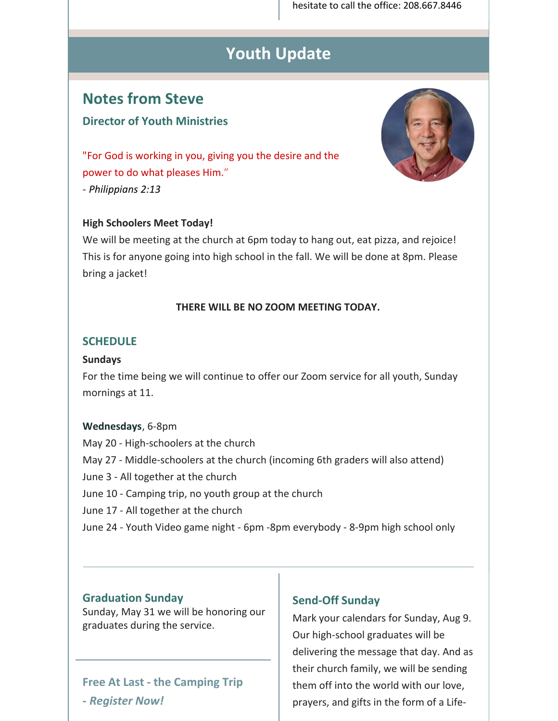hesitate to call the office: 208.667.8446

# **Youth Update**

## **Notes from Steve**

## **Director of Youth Ministries**



"For God is working in you, giving you the desire and the power to do what pleases Him." *- Philippians 2:13*

#### **High Schoolers Meet Today!**

We will be meeting at the church at 6pm today to hang out, eat pizza, and rejoice! This is for anyone going into high school in the fall. We will be done at 8pm. Please bring a jacket!

#### **THERE WILL BE NO ZOOM MEETING TODAY.**

#### **SCHEDULE**

#### **Sundays**

For the time being we will continue to offer our Zoom service for all youth, Sunday mornings at 11.

#### **Wednesdays**, 6-8pm

May 20 - High-schoolers at the church May 27 - Middle-schoolers at the church (incoming 6th graders will also attend) June 3 - All together at the church June 10 - Camping trip, no youth group at the church June 17 - All together at the church June 24 - Youth Video game night - 6pm -8pm everybody - 8-9pm high school only

#### **Graduation Sunday**

Sunday, May 31 we will be honoring our graduates during the service.

## **Free At Last - the Camping Trip -** *Register Now!*

#### **Send-Off Sunday**

Mark your calendars for Sunday, Aug 9. Our high-school graduates will be delivering the message that day. And as their church family, we will be sending them off into the world with our love, prayers, and gifts in the form of a Life-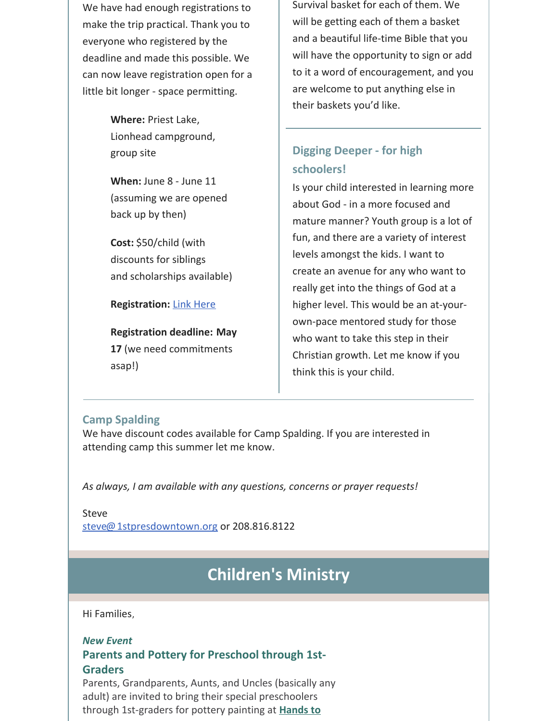We have had enough registrations to make the trip practical. Thank you to everyone who registered by the deadline and made this possible. We can now leave registration open for a little bit longer - space permitting.

> **Where:** Priest Lake, Lionhead campground, group site

**When:** June 8 - June 11 (assuming we are opened back up by then)

**Cost:** \$50/child (with discounts for siblings and scholarships available)

#### **Registration:** Link [Here](https://1stpres.churchcenter.com/registrations/events/419932)

**Registration deadline: May 17** (we need commitments asap!)

Survival basket for each of them. We will be getting each of them a basket and a beautiful life-time Bible that you will have the opportunity to sign or add to it a word of encouragement, and you are welcome to put anything else in their baskets you'd like.

## **Digging Deeper - for high schoolers!**

Is your child interested in learning more about God - in a more focused and mature manner? Youth group is a lot of fun, and there are a variety of interest levels amongst the kids. I want to create an avenue for any who want to really get into the things of God at a higher level. This would be an at-yourown-pace mentored study for those who want to take this step in their Christian growth. Let me know if you think this is your child.

#### **Camp Spalding**

We have discount codes available for Camp Spalding. If you are interested in attending camp this summer let me know.

*As always, I am available with any questions, concerns or prayer requests!*

Steve [steve@1stpresdowntown.org](mailto:steve@1stpresdowntown.org) or 208.816.8122

# **Children's Ministry**

Hi Families,

## *New Event*

#### **Parents and Pottery for Preschool through 1st-Graders**

Parents, Grandparents, Aunts, and Uncles (basically any adult) are invited to bring their special preschoolers through [1st-graders](https://www.handstoart.com/) for pottery painting at **Hands to**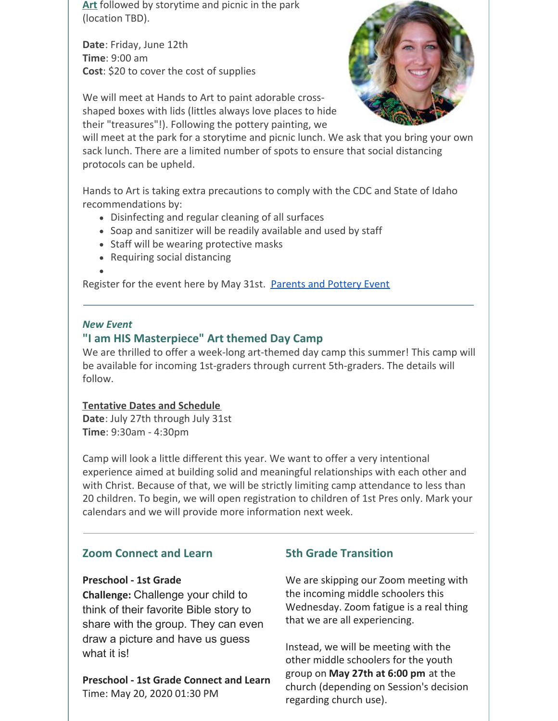**Art** followed by storytime and picnic in the park (location TBD).

**Date**: Friday, June 12th **Time**: 9:00 am **Cost**: \$20 to cover the cost of supplies



We will meet at Hands to Art to paint adorable crossshaped boxes with lids (littles always love places to hide their "treasures"!). Following the pottery painting, we

will meet at the park for a storytime and picnic lunch. We ask that you bring your own sack lunch. There are a limited number of spots to ensure that social distancing protocols can be upheld.

Hands to Art is taking extra precautions to comply with the CDC and State of Idaho recommendations by:

- Disinfecting and regular cleaning of all surfaces
- Soap and sanitizer will be readily available and used by staff
- Staff will be wearing protective masks
- Requiring social distancing
- 

Register for the event here by May 31st. [Parents](https://1stpres.churchcenter.com/registrations/events/426187) and Pottery Event

#### *New Event*

### **"I am HIS Masterpiece" Art themed Day Camp**

We are thrilled to offer a week-long art-themed day camp this summer! This camp will be available for incoming 1st-graders through current 5th-graders. The details will follow.

#### **Tentative Dates and Schedule**

**Date**: July 27th through July 31st **Time**: 9:30am - 4:30pm

Camp will look a little different this year. We want to offer a very intentional experience aimed at building solid and meaningful relationships with each other and with Christ. Because of that, we will be strictly limiting camp attendance to less than 20 children. To begin, we will open registration to children of 1st Pres only. Mark your calendars and we will provide more information next week.

#### **Zoom Connect and Learn**

#### **Preschool - 1st Grade**

**Challenge:** Challenge your child to think of their favorite Bible story to share with the group. They can even draw a picture and have us guess what it is!

**Preschool - 1st Grade Connect and Learn** Time: May 20, 2020 01:30 PM

#### **5th Grade Transition**

We are skipping our Zoom meeting with the incoming middle schoolers this Wednesday. Zoom fatigue is a real thing that we are all experiencing.

Instead, we will be meeting with the other middle schoolers for the youth group on **May 27th at 6:00 pm** at the church (depending on Session's decision regarding church use).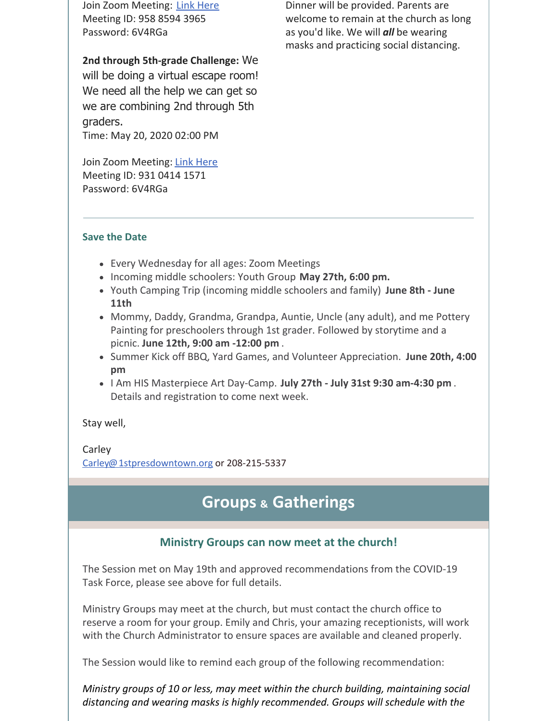Join Zoom Meeting: Link [Here](https://zoom.us/j/95885943965?pwd=L0R0UVFHOUZLQTlnMlJ4dVZRQ3NnQT09) Meeting ID: 958 8594 3965 Password: 6V4RGa

**2nd through 5th-grade Challenge:** We will be doing a virtual escape room! We need all the help we can get so we are combining 2nd through 5th graders. Time: May 20, 2020 02:00 PM

Join Zoom Meeting: Link [Here](https://zoom.us/j/93104141571?pwd=cHRZVS9sMmtickNXSTBjMVJhbEk2Zz09) Meeting ID: 931 0414 1571 Password: 6V4RGa

Dinner will be provided. Parents are welcome to remain at the church as long as you'd like. We will *all* be wearing masks and practicing social distancing.

#### **Save the Date**

- Every Wednesday for all ages: Zoom Meetings
- Incoming middle schoolers: Youth Group **May 27th, 6:00 pm.**
- Youth Camping Trip (incoming middle schoolers and family) **June 8th - June 11th**
- Mommy, Daddy, Grandma, Grandpa, Auntie, Uncle (any adult), and me Pottery Painting for preschoolers through 1st grader. Followed by storytime and a picnic. **June 12th, 9:00 am -12:00 pm** .
- Summer Kick off BBQ, Yard Games, and Volunteer Appreciation. **June 20th, 4:00 pm**
- I Am HIS Masterpiece Art Day-Camp. **July 27th - July 31st 9:30 am-4:30 pm** . Details and registration to come next week.

Stay well,

Carley [Carley@1stpresdowntown.org](mailto:Carley@1stpresdowntown.org) or 208-215-5337

## **Groups & Gatherings**

## **Ministry Groups can now meet at the church!**

The Session met on May 19th and approved recommendations from the COVID-19 Task Force, please see above for full details.

Ministry Groups may meet at the church, but must contact the church office to reserve a room for your group. Emily and Chris, your amazing receptionists, will work with the Church Administrator to ensure spaces are available and cleaned properly.

The Session would like to remind each group of the following recommendation:

*Ministry groups of 10 or less, may meet within the church building, maintaining social distancing and wearing masks is highly recommended. Groups will schedule with the*